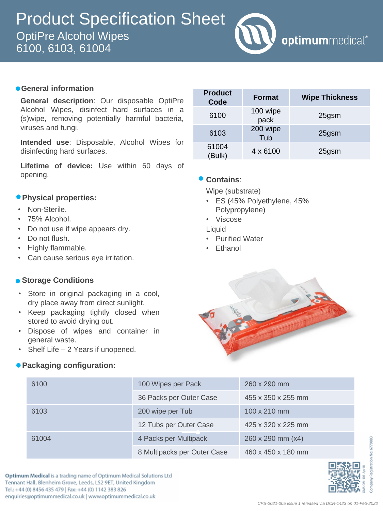

## **General information**

**General description**: Our disposable OptiPre Alcohol Wipes, disinfect hard surfaces in a (s)wipe, removing potentially harmful bacteria, viruses and fungi.

**Intended use**: Disposable, Alcohol Wipes for disinfecting hard surfaces.

**Lifetime of device:** Use within 60 days of opening.

## **Physical properties:**

- Non-Sterile.
- 75% Alcohol.
- Do not use if wipe appears dry.
- Do not flush.
- Highly flammable.
- Can cause serious eye irritation.

#### **• Storage Conditions**

- Store in original packaging in a cool, dry place away from direct sunlight.
- Keep packaging tightly closed when stored to avoid drying out.
- Dispose of wipes and container in general waste.
- Shelf Life  $-2$  Years if unopened.

#### **Packaging configuration:**

| <b>Product</b><br>Code | <b>Format</b>    | <b>Wipe Thickness</b> |
|------------------------|------------------|-----------------------|
| 6100                   | 100 wipe<br>pack | 25gsm                 |
| 6103                   | 200 wipe<br>Tub  | 25gsm                 |
| 61004<br>(Bulk)        | $4 \times 6100$  | 25gsm                 |

## **Contains**:

Wipe (substrate)

- ES (45% Polyethylene, 45% Polypropylene)
- Viscose

Liquid

- Purified Water
- Ethanol



| 6100  | 100 Wipes per Pack          | 260 x 290 mm       |  |
|-------|-----------------------------|--------------------|--|
|       | 36 Packs per Outer Case     | 455 x 350 x 255 mm |  |
| 6103  | 200 wipe per Tub            | 100 x 210 mm       |  |
|       | 12 Tubs per Outer Case      | 425 x 320 x 225 mm |  |
| 61004 | 4 Packs per Multipack       | 260 x 290 mm (x4)  |  |
|       | 8 Multipacks per Outer Case | 460 x 450 x 180 mm |  |

Optimum Medical is a trading name of Optimum Medical Solutions Ltd Tennant Hall, Blenheim Grove, Leeds, LS2 9ET, United Kingdom Tel.: +44 (0) 8456 435 479 | Fax: +44 (0) 1142 383 826 enquiries@optimummedical.co.uk | www.optimummedical.co.uk